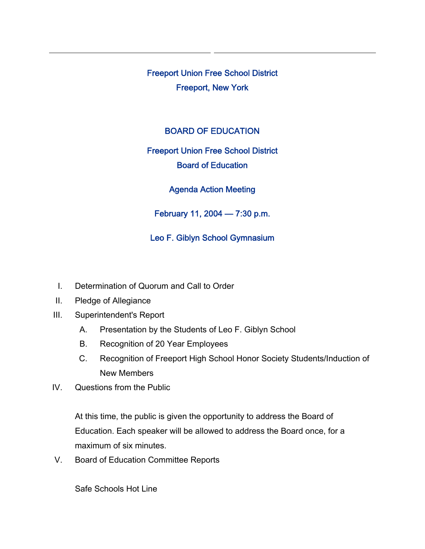Freeport Union Free School District Freeport, New York

### BOARD OF EDUCATION

# Freeport Union Free School District Board of Education

Agenda Action Meeting

February 11, 2004 — 7:30 p.m.

## Leo F. Giblyn School Gymnasium

- I. Determination of Quorum and Call to Order
- II. Pledge of Allegiance
- III. Superintendent's Report
	- A. Presentation by the Students of Leo F. Giblyn School
	- B. Recognition of 20 Year Employees
	- C. Recognition of Freeport High School Honor Society Students/Induction of New Members
- IV. Questions from the Public

At this time, the public is given the opportunity to address the Board of Education. Each speaker will be allowed to address the Board once, for a maximum of six minutes.

V. Board of Education Committee Reports

Safe Schools Hot Line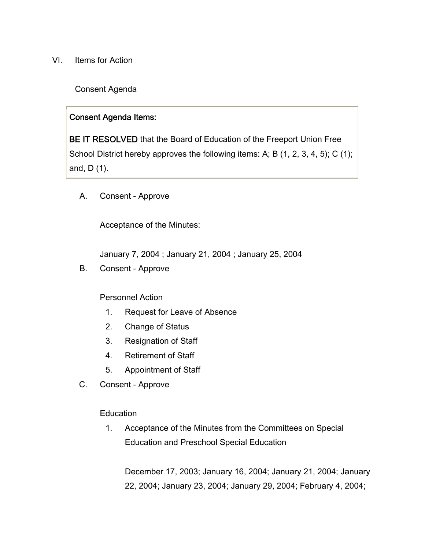VI. Items for Action

Consent Agenda

#### Consent Agenda Items:

BE IT RESOLVED that the Board of Education of the Freeport Union Free School District hereby approves the following items: A; B (1, 2, 3, 4, 5); C (1); and, D (1).

A. Consent - Approve

Acceptance of the Minutes:

January 7, 2004 ; January 21, 2004 ; January 25, 2004

B. Consent - Approve

#### Personnel Action

- 1. Request for Leave of Absence
- 2. Change of Status
- 3. Resignation of Staff
- 4. Retirement of Staff
- 5. Appointment of Staff
- C. Consent Approve

#### Education

1. Acceptance of the Minutes from the Committees on Special Education and Preschool Special Education

December 17, 2003; January 16, 2004; January 21, 2004; January 22, 2004; January 23, 2004; January 29, 2004; February 4, 2004;